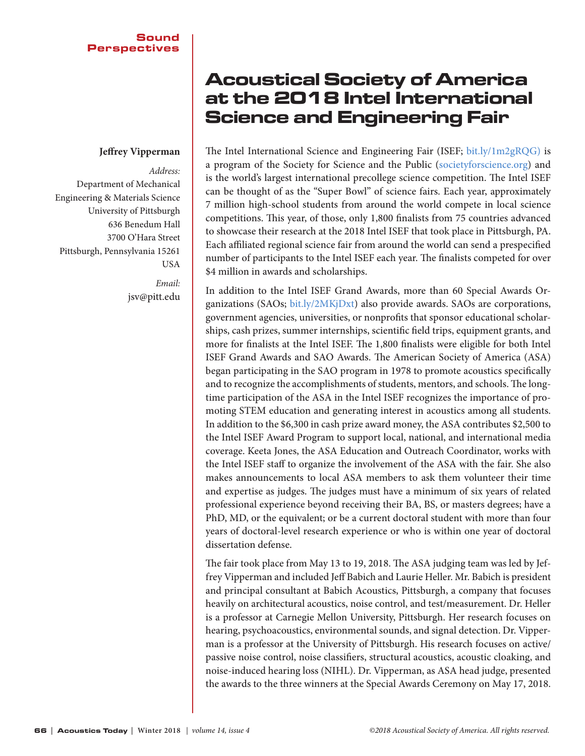## **Jeffrey Vipperman**

*Address:*  Department of Mechanical Engineering & Materials Science University of Pittsburgh 636 Benedum Hall 3700 O'Hara Street Pittsburgh, Pennsylvania 15261 USA

> *Email:*  jsv@pitt.edu

## Acoustical Society of America at the 2018 Intel International Science and Engineering Fair

The Intel International Science and Engineering Fair (ISEF; bit.ly/1m2gRQG) is a program of the Society for Science and the Public (societyforscience.org) and is the world's largest international precollege science competition. The Intel ISEF can be thought of as the "Super Bowl" of science fairs. Each year, approximately 7 million high-school students from around the world compete in local science competitions. This year, of those, only 1,800 finalists from 75 countries advanced to showcase their research at the 2018 Intel ISEF that took place in Pittsburgh, PA. Each affiliated regional science fair from around the world can send a prespecified number of participants to the Intel ISEF each year. The finalists competed for over \$4 million in awards and scholarships.

In addition to the Intel ISEF Grand Awards, more than 60 Special Awards Organizations (SAOs; bit.ly/2MKjDxt) also provide awards. SAOs are corporations, government agencies, universities, or nonprofits that sponsor educational scholarships, cash prizes, summer internships, scientific field trips, equipment grants, and more for finalists at the Intel ISEF. The 1,800 finalists were eligible for both Intel ISEF Grand Awards and SAO Awards. The American Society of America (ASA) began participating in the SAO program in 1978 to promote acoustics specifically and to recognize the accomplishments of students, mentors, and schools. The longtime participation of the ASA in the Intel ISEF recognizes the importance of promoting STEM education and generating interest in acoustics among all students. In addition to the \$6,300 in cash prize award money, the ASA contributes \$2,500 to the Intel ISEF Award Program to support local, national, and international media coverage. Keeta Jones, the ASA Education and Outreach Coordinator, works with the Intel ISEF staff to organize the involvement of the ASA with the fair. She also makes announcements to local ASA members to ask them volunteer their time and expertise as judges. The judges must have a minimum of six years of related professional experience beyond receiving their BA, BS, or masters degrees; have a PhD, MD, or the equivalent; or be a current doctoral student with more than four years of doctoral-level research experience or who is within one year of doctoral dissertation defense.

The fair took place from May 13 to 19, 2018. The ASA judging team was led by Jeffrey Vipperman and included Jeff Babich and Laurie Heller. Mr. Babich is president and principal consultant at Babich Acoustics, Pittsburgh, a company that focuses heavily on architectural acoustics, noise control, and test/measurement. Dr. Heller is a professor at Carnegie Mellon University, Pittsburgh. Her research focuses on hearing, psychoacoustics, environmental sounds, and signal detection. Dr. Vipperman is a professor at the University of Pittsburgh. His research focuses on active/ passive noise control, noise classifiers, structural acoustics, acoustic cloaking, and noise-induced hearing loss (NIHL). Dr. Vipperman, as ASA head judge, presented the awards to the three winners at the Special Awards Ceremony on May 17, 2018.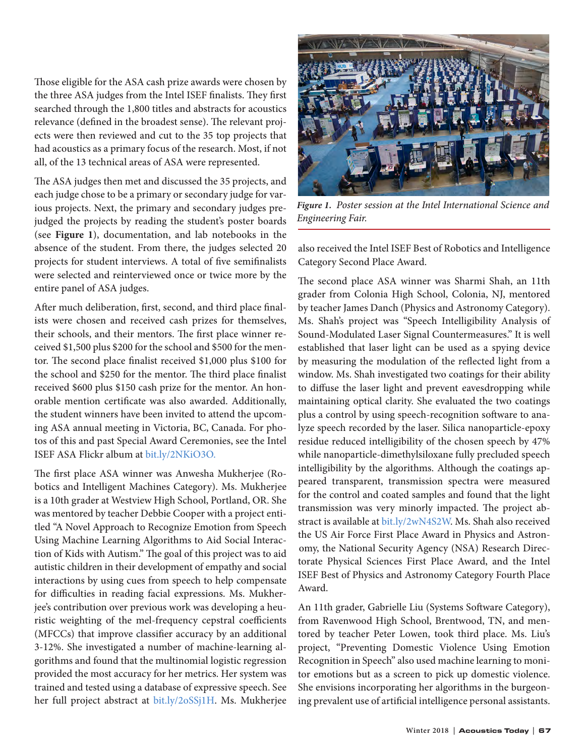Those eligible for the ASA cash prize awards were chosen by the three ASA judges from the Intel ISEF finalists. They first searched through the 1,800 titles and abstracts for acoustics relevance (defined in the broadest sense). The relevant projects were then reviewed and cut to the 35 top projects that had acoustics as a primary focus of the research. Most, if not all, of the 13 technical areas of ASA were represented.

The ASA judges then met and discussed the 35 projects, and each judge chose to be a primary or secondary judge for various projects. Next, the primary and secondary judges prejudged the projects by reading the student's poster boards (see **Figure 1**), documentation, and lab notebooks in the absence of the student. From there, the judges selected 20 projects for student interviews. A total of five semifinalists were selected and reinterviewed once or twice more by the entire panel of ASA judges.

After much deliberation, first, second, and third place finalists were chosen and received cash prizes for themselves, their schools, and their mentors. The first place winner received \$1,500 plus \$200 for the school and \$500 for the mentor. The second place finalist received \$1,000 plus \$100 for the school and \$250 for the mentor. The third place finalist received \$600 plus \$150 cash prize for the mentor. An honorable mention certificate was also awarded. Additionally, the student winners have been invited to attend the upcoming ASA annual meeting in Victoria, BC, Canada. For photos of this and past Special Award Ceremonies, see the Intel ISEF ASA Flickr album at [bit.ly/2NKiO3O](https://bit.ly/2NKiO3O).

The first place ASA winner was Anwesha Mukherjee (Robotics and Intelligent Machines Category). Ms. Mukherjee is a 10th grader at Westview High School, Portland, OR. She was mentored by teacher Debbie Cooper with a project entitled "A Novel Approach to Recognize Emotion from Speech Using Machine Learning Algorithms to Aid Social Interaction of Kids with Autism." The goal of this project was to aid autistic children in their development of empathy and social interactions by using cues from speech to help compensate for difficulties in reading facial expressions. Ms. Mukherjee's contribution over previous work was developing a heuristic weighting of the mel-frequency cepstral coefficients (MFCCs) that improve classifier accuracy by an additional 3-12%. She investigated a number of machine-learning algorithms and found that the multinomial logistic regression provided the most accuracy for her metrics. Her system was trained and tested using a database of expressive speech. See her full project abstract at [bit.ly/2oSSj1H.](https://bit.ly/2oSSj1H) Ms. Mukherjee



*Figure 1. Poster session at the Intel International Science and Engineering Fair.*

also received the Intel ISEF Best of Robotics and Intelligence Category Second Place Award.

The second place ASA winner was Sharmi Shah, an 11th grader from Colonia High School, Colonia, NJ, mentored by teacher James Danch (Physics and Astronomy Category). Ms. Shah's project was "Speech Intelligibility Analysis of Sound-Modulated Laser Signal Countermeasures." It is well established that laser light can be used as a spying device by measuring the modulation of the reflected light from a window. Ms. Shah investigated two coatings for their ability to diffuse the laser light and prevent eavesdropping while maintaining optical clarity. She evaluated the two coatings plus a control by using speech-recognition software to analyze speech recorded by the laser. Silica nanoparticle-epoxy residue reduced intelligibility of the chosen speech by 47% while nanoparticle-dimethylsiloxane fully precluded speech intelligibility by the algorithms. Although the coatings appeared transparent, transmission spectra were measured for the control and coated samples and found that the light transmission was very minorly impacted. The project abstract is available at bit.ly/2wN4S2W. Ms. Shah also received the US Air Force First Place Award in Physics and Astronomy, the National Security Agency (NSA) Research Directorate Physical Sciences First Place Award, and the Intel ISEF Best of Physics and Astronomy Category Fourth Place Award.

An 11th grader, Gabrielle Liu (Systems Software Category), from Ravenwood High School, Brentwood, TN, and mentored by teacher Peter Lowen, took third place. Ms. Liu's project, "Preventing Domestic Violence Using Emotion Recognition in Speech" also used machine learning to monitor emotions but as a screen to pick up domestic violence. She envisions incorporating her algorithms in the burgeoning prevalent use of artificial intelligence personal assistants.